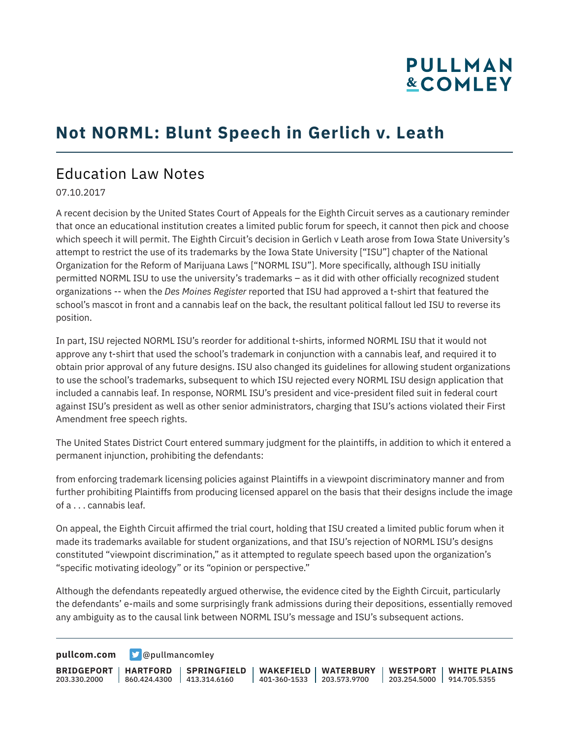# **PULLMAN &COMLEY**

### **Not NORML: Blunt Speech in Gerlich v. Leath**

#### Education Law Notes

07.10.2017

A recent decision by the United States Court of Appeals for the Eighth Circuit serves as a cautionary reminder that once an educational institution creates a limited public forum for speech, it cannot then pick and choose which speech it will permit. The Eighth Circuit's decision in Gerlich v Leath arose from Iowa State University's attempt to restrict the use of its trademarks by the Iowa State University ["ISU"] chapter of the National Organization for the Reform of Marijuana Laws ["NORML ISU"]. More specifically, although ISU initially permitted NORML ISU to use the university's trademarks – as it did with other officially recognized student organizations -- when the *Des Moines Register* reported that ISU had approved a t-shirt that featured the school's mascot in front and a cannabis leaf on the back, the resultant political fallout led ISU to reverse its position.

In part, ISU rejected NORML ISU's reorder for additional t-shirts, informed NORML ISU that it would not approve any t-shirt that used the school's trademark in conjunction with a cannabis leaf, and required it to obtain prior approval of any future designs. ISU also changed its guidelines for allowing student organizations to use the school's trademarks, subsequent to which ISU rejected every NORML ISU design application that included a cannabis leaf. In response, NORML ISU's president and vice-president filed suit in federal court against ISU's president as well as other senior administrators, charging that ISU's actions violated their First Amendment free speech rights.

The United States District Court entered summary judgment for the plaintiffs, in addition to which it entered a permanent injunction, prohibiting the defendants:

from enforcing trademark licensing policies against Plaintiffs in a viewpoint discriminatory manner and from further prohibiting Plaintiffs from producing licensed apparel on the basis that their designs include the image of a . . . cannabis leaf.

On appeal, the Eighth Circuit affirmed the trial court, holding that ISU created a limited public forum when it made its trademarks available for student organizations, and that ISU's rejection of NORML ISU's designs constituted "viewpoint discrimination," as it attempted to regulate speech based upon the organization's "specific motivating ideology" or its "opinion or perspective."

Although the defendants repeatedly argued otherwise, the evidence cited by the Eighth Circuit, particularly the defendants' e-mails and some surprisingly frank admissions during their depositions, essentially removed any ambiguity as to the causal link between NORML ISU's message and ISU's subsequent actions.

**[pullcom.com](https://www.pullcom.com) g** [@pullmancomley](https://twitter.com/PullmanComley)

**BRIDGEPORT** 203.330.2000 **HARTFORD** 860.424.4300 413.314.6160 **SPRINGFIELD WAKEFIELD WATERBURY** 401-360-1533 203.573.9700 **WESTPORT WHITE PLAINS** 203.254.5000 914.705.5355